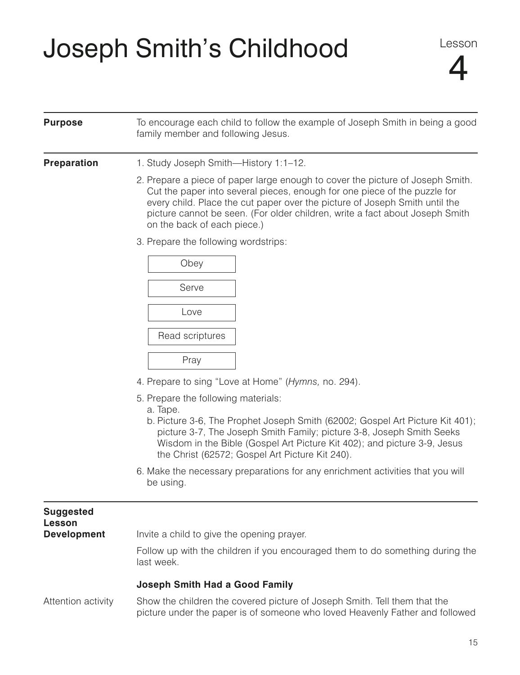## Joseph Smith's Childhood

| <b>Purpose</b>             | To encourage each child to follow the example of Joseph Smith in being a good<br>family member and following Jesus.                                                                                                                                                                                                                                       |
|----------------------------|-----------------------------------------------------------------------------------------------------------------------------------------------------------------------------------------------------------------------------------------------------------------------------------------------------------------------------------------------------------|
| <b>Preparation</b>         | 1. Study Joseph Smith-History 1:1-12.                                                                                                                                                                                                                                                                                                                     |
|                            | 2. Prepare a piece of paper large enough to cover the picture of Joseph Smith.<br>Cut the paper into several pieces, enough for one piece of the puzzle for<br>every child. Place the cut paper over the picture of Joseph Smith until the<br>picture cannot be seen. (For older children, write a fact about Joseph Smith<br>on the back of each piece.) |
|                            | 3. Prepare the following wordstrips:                                                                                                                                                                                                                                                                                                                      |
|                            | Obey                                                                                                                                                                                                                                                                                                                                                      |
|                            | Serve                                                                                                                                                                                                                                                                                                                                                     |
|                            | Love                                                                                                                                                                                                                                                                                                                                                      |
|                            | Read scriptures                                                                                                                                                                                                                                                                                                                                           |
|                            | Pray                                                                                                                                                                                                                                                                                                                                                      |
|                            | 4. Prepare to sing "Love at Home" (Hymns, no. 294).                                                                                                                                                                                                                                                                                                       |
|                            | 5. Prepare the following materials:<br>a. Tape.<br>b. Picture 3-6, The Prophet Joseph Smith (62002; Gospel Art Picture Kit 401);<br>picture 3-7, The Joseph Smith Family; picture 3-8, Joseph Smith Seeks<br>Wisdom in the Bible (Gospel Art Picture Kit 402); and picture 3-9, Jesus<br>the Christ (62572; Gospel Art Picture Kit 240).                  |
|                            | 6. Make the necessary preparations for any enrichment activities that you will<br>be using.                                                                                                                                                                                                                                                               |
| <b>Suggested</b><br>Lesson |                                                                                                                                                                                                                                                                                                                                                           |
| <b>Development</b>         | Invite a child to give the opening prayer.                                                                                                                                                                                                                                                                                                                |
|                            | Follow up with the children if you encouraged them to do something during the<br>last week.                                                                                                                                                                                                                                                               |
|                            | <b>Joseph Smith Had a Good Family</b>                                                                                                                                                                                                                                                                                                                     |
| Attention activity         | Show the children the covered picture of Joseph Smith. Tell them that the<br>picture under the paper is of someone who loved Heavenly Father and followed                                                                                                                                                                                                 |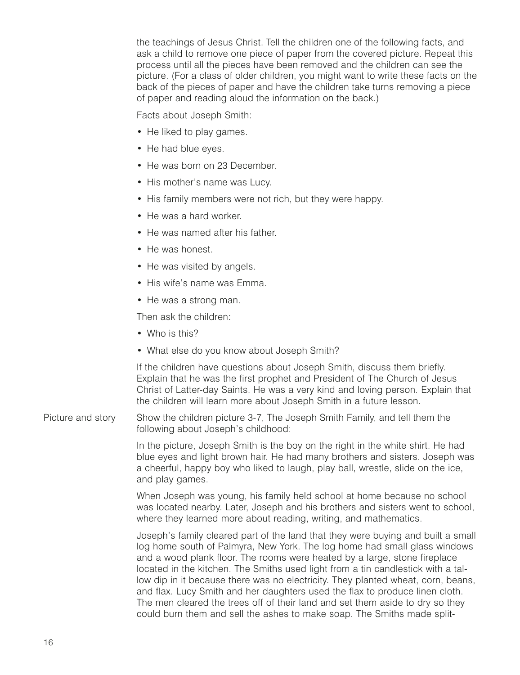the teachings of Jesus Christ. Tell the children one of the following facts, and ask a child to remove one piece of paper from the covered picture. Repeat this process until all the pieces have been removed and the children can see the picture. (For a class of older children, you might want to write these facts on the back of the pieces of paper and have the children take turns removing a piece of paper and reading aloud the information on the back.)

Facts about Joseph Smith:

- He liked to play games.
- He had blue eyes.
- He was born on 23 December.
- His mother's name was Lucy.
- His family members were not rich, but they were happy.
- He was a hard worker.
- He was named after his father.
- He was honest.
- He was visited by angels.
- His wife's name was Emma.
- He was a strong man.

Then ask the children:

- Who is this?
- What else do you know about Joseph Smith?

If the children have questions about Joseph Smith, discuss them briefly. Explain that he was the first prophet and President of The Church of Jesus Christ of Latter-day Saints. He was a very kind and loving person. Explain that the children will learn more about Joseph Smith in a future lesson.

Picture and story Show the children picture 3-7, The Joseph Smith Family, and tell them the following about Joseph's childhood:

> In the picture, Joseph Smith is the boy on the right in the white shirt. He had blue eyes and light brown hair. He had many brothers and sisters. Joseph was a cheerful, happy boy who liked to laugh, play ball, wrestle, slide on the ice, and play games.

> When Joseph was young, his family held school at home because no school was located nearby. Later, Joseph and his brothers and sisters went to school, where they learned more about reading, writing, and mathematics.

> Joseph's family cleared part of the land that they were buying and built a small log home south of Palmyra, New York. The log home had small glass windows and a wood plank floor. The rooms were heated by a large, stone fireplace located in the kitchen. The Smiths used light from a tin candlestick with a tallow dip in it because there was no electricity. They planted wheat, corn, beans, and flax. Lucy Smith and her daughters used the flax to produce linen cloth. The men cleared the trees off of their land and set them aside to dry so they could burn them and sell the ashes to make soap. The Smiths made split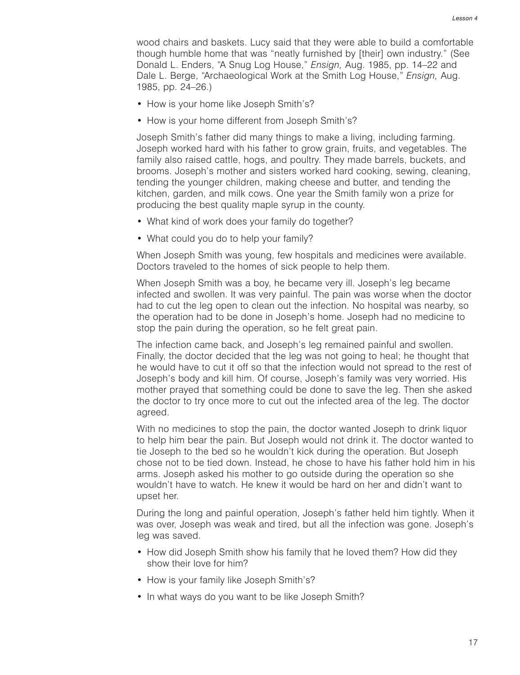wood chairs and baskets. Lucy said that they were able to build a comfortable though humble home that was "neatly furnished by [their] own industry." (See Donald L. Enders, "A Snug Log House," *Ensign,* Aug. 1985, pp. 14–22 and Dale L. Berge, "Archaeological Work at the Smith Log House," *Ensign,* Aug. 1985, pp. 24–26.)

- How is your home like Joseph Smith's?
- How is your home different from Joseph Smith's?

Joseph Smith's father did many things to make a living, including farming. Joseph worked hard with his father to grow grain, fruits, and vegetables. The family also raised cattle, hogs, and poultry. They made barrels, buckets, and brooms. Joseph's mother and sisters worked hard cooking, sewing, cleaning, tending the younger children, making cheese and butter, and tending the kitchen, garden, and milk cows. One year the Smith family won a prize for producing the best quality maple syrup in the county.

- What kind of work does your family do together?
- What could you do to help your family?

When Joseph Smith was young, few hospitals and medicines were available. Doctors traveled to the homes of sick people to help them.

When Joseph Smith was a boy, he became very ill. Joseph's leg became infected and swollen. It was very painful. The pain was worse when the doctor had to cut the leg open to clean out the infection. No hospital was nearby, so the operation had to be done in Joseph's home. Joseph had no medicine to stop the pain during the operation, so he felt great pain.

The infection came back, and Joseph's leg remained painful and swollen. Finally, the doctor decided that the leg was not going to heal; he thought that he would have to cut it off so that the infection would not spread to the rest of Joseph's body and kill him. Of course, Joseph's family was very worried. His mother prayed that something could be done to save the leg. Then she asked the doctor to try once more to cut out the infected area of the leg. The doctor agreed.

With no medicines to stop the pain, the doctor wanted Joseph to drink liquor to help him bear the pain. But Joseph would not drink it. The doctor wanted to tie Joseph to the bed so he wouldn't kick during the operation. But Joseph chose not to be tied down. Instead, he chose to have his father hold him in his arms. Joseph asked his mother to go outside during the operation so she wouldn't have to watch. He knew it would be hard on her and didn't want to upset her.

During the long and painful operation, Joseph's father held him tightly. When it was over, Joseph was weak and tired, but all the infection was gone. Joseph's leg was saved.

- How did Joseph Smith show his family that he loved them? How did they show their love for him?
- How is your family like Joseph Smith's?
- In what ways do you want to be like Joseph Smith?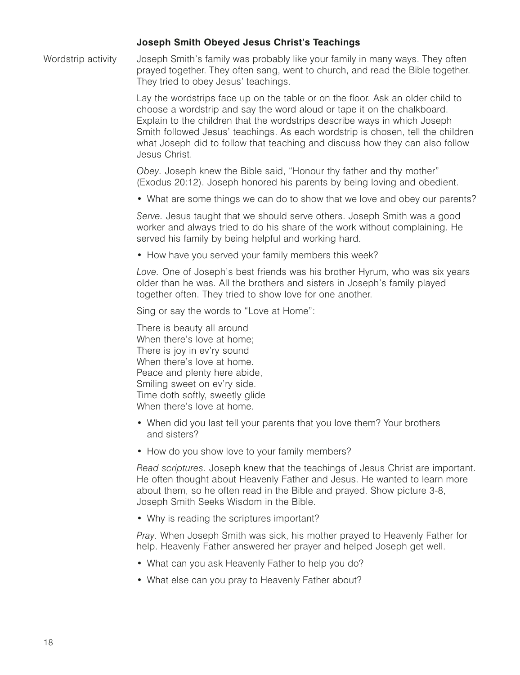## **Joseph Smith Obeyed Jesus Christ's Teachings**

Wordstrip activity Joseph Smith's family was probably like your family in many ways. They often prayed together. They often sang, went to church, and read the Bible together. They tried to obey Jesus' teachings.

> Lay the wordstrips face up on the table or on the floor. Ask an older child to choose a wordstrip and say the word aloud or tape it on the chalkboard. Explain to the children that the wordstrips describe ways in which Joseph Smith followed Jesus' teachings. As each wordstrip is chosen, tell the children what Joseph did to follow that teaching and discuss how they can also follow Jesus Christ.

*Obey.* Joseph knew the Bible said, "Honour thy father and thy mother" (Exodus 20:12). Joseph honored his parents by being loving and obedient.

• What are some things we can do to show that we love and obey our parents?

*Serve.* Jesus taught that we should serve others. Joseph Smith was a good worker and always tried to do his share of the work without complaining. He served his family by being helpful and working hard.

• How have you served your family members this week?

*Love.* One of Joseph's best friends was his brother Hyrum, who was six years older than he was. All the brothers and sisters in Joseph's family played together often. They tried to show love for one another.

Sing or say the words to "Love at Home":

There is beauty all around When there's love at home; There is joy in ev'ry sound When there's love at home. Peace and plenty here abide, Smiling sweet on ev'ry side. Time doth softly, sweetly glide When there's love at home.

- When did you last tell your parents that you love them? Your brothers and sisters?
- How do you show love to your family members?

*Read scriptures.* Joseph knew that the teachings of Jesus Christ are important. He often thought about Heavenly Father and Jesus. He wanted to learn more about them, so he often read in the Bible and prayed. Show picture 3-8, Joseph Smith Seeks Wisdom in the Bible.

• Why is reading the scriptures important?

*Pray.* When Joseph Smith was sick, his mother prayed to Heavenly Father for help. Heavenly Father answered her prayer and helped Joseph get well.

- What can you ask Heavenly Father to help you do?
- What else can you pray to Heavenly Father about?